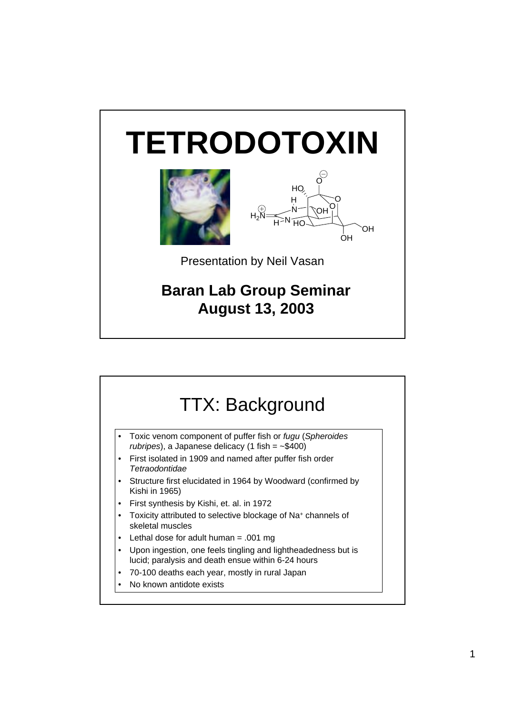## **TETRODOTOXIN**





Presentation by Neil Vasan

## **Baran Lab Group Seminar August 13, 2003**

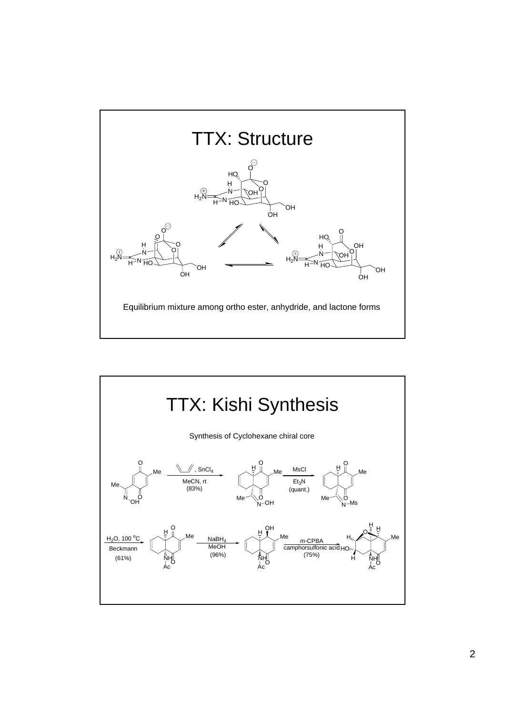

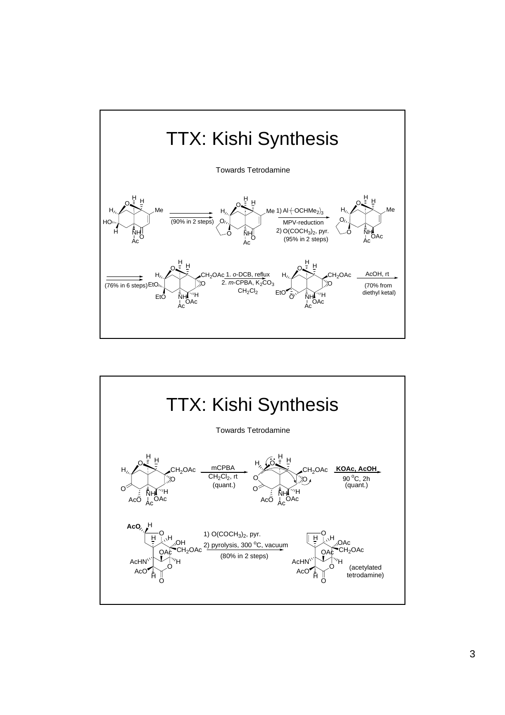

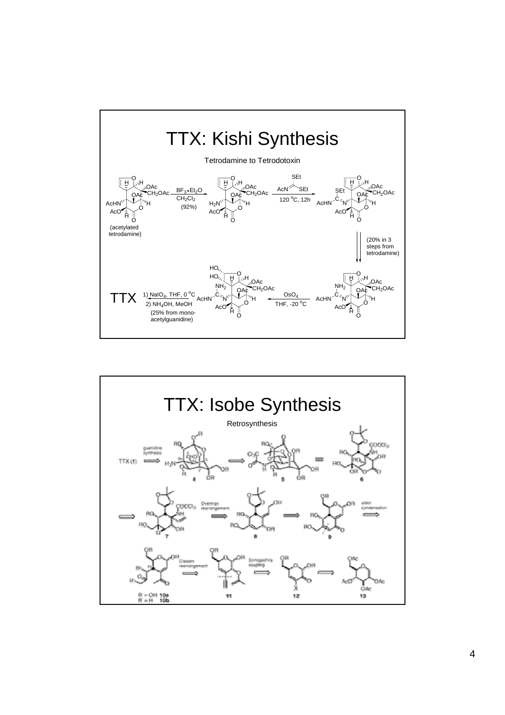

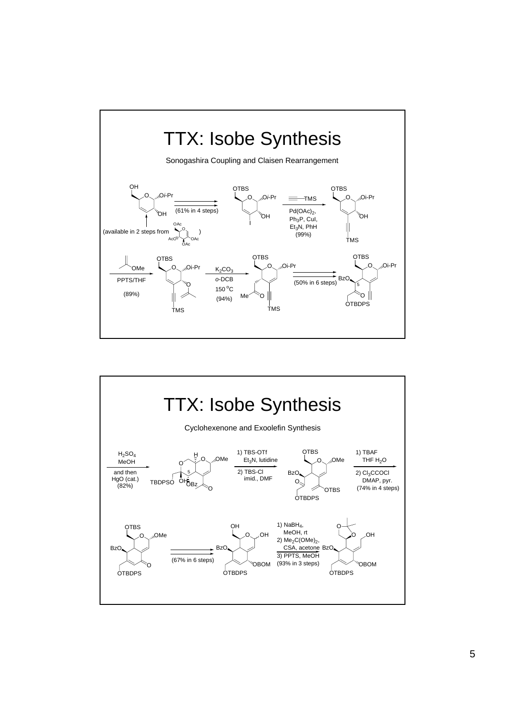

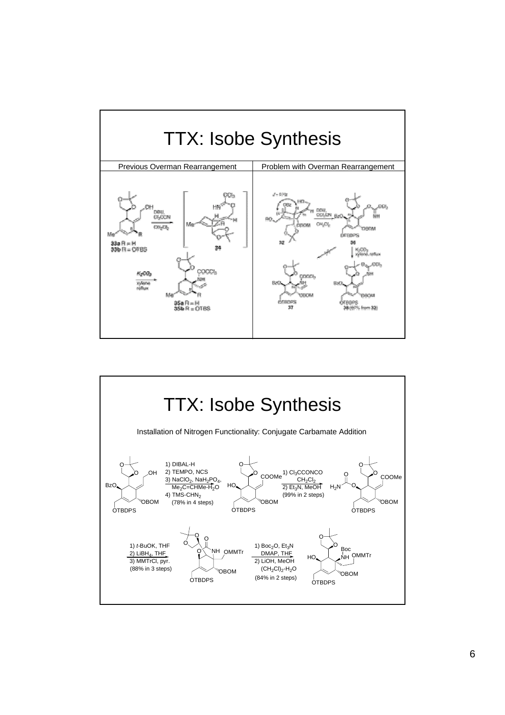

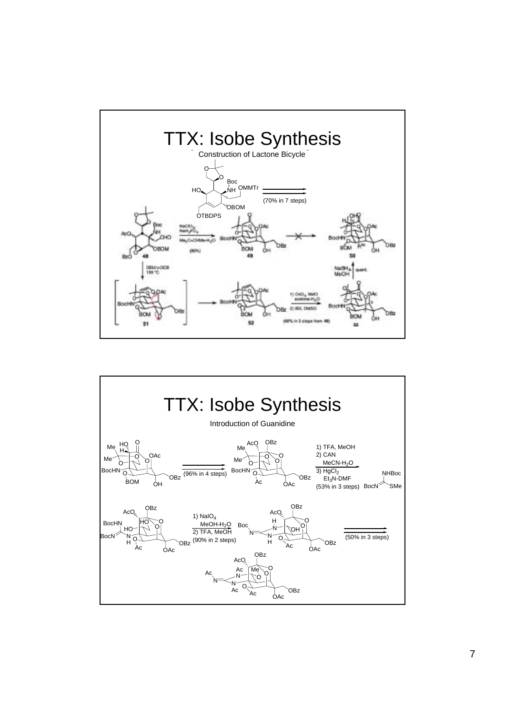

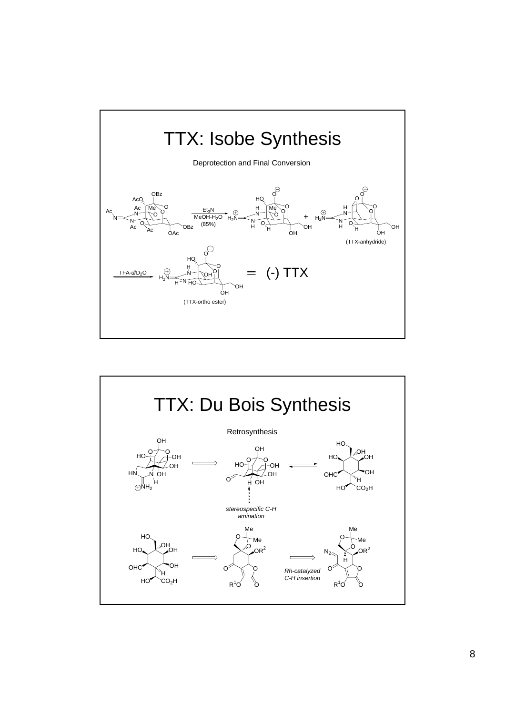

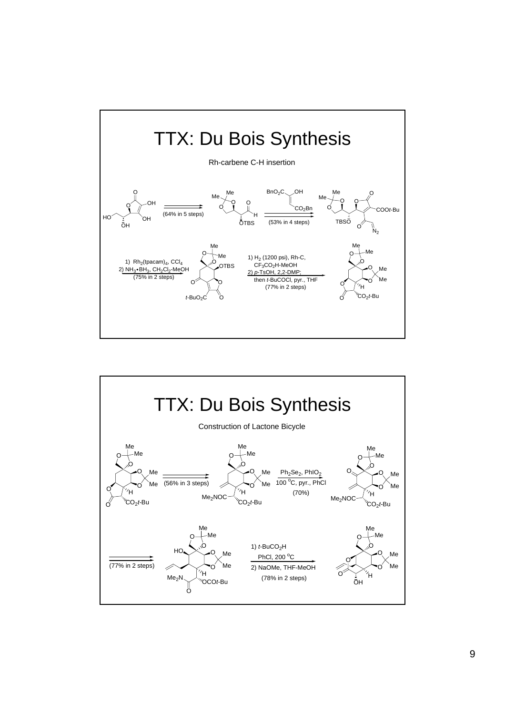

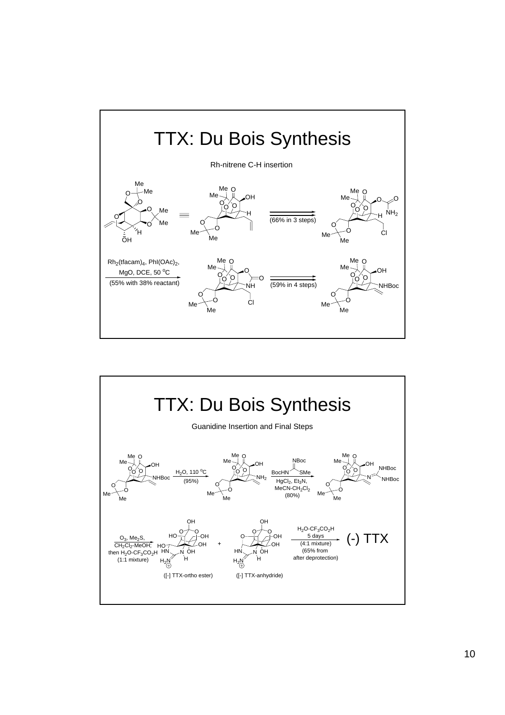

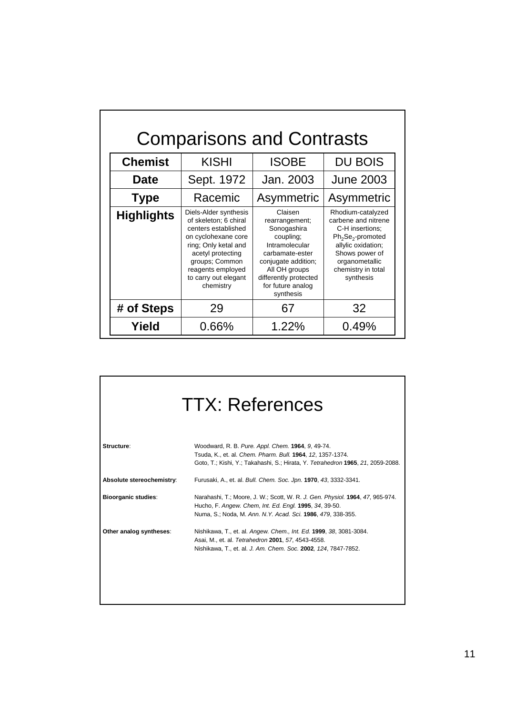| <b>Comparisons and Contrasts</b> |                                                                                                                                                                                                                       |                                                                                                                                                                                               |                                                                                                                                                                                  |
|----------------------------------|-----------------------------------------------------------------------------------------------------------------------------------------------------------------------------------------------------------------------|-----------------------------------------------------------------------------------------------------------------------------------------------------------------------------------------------|----------------------------------------------------------------------------------------------------------------------------------------------------------------------------------|
| <b>Chemist</b>                   | <b>KISHI</b>                                                                                                                                                                                                          | <b>ISOBE</b>                                                                                                                                                                                  | <b>DU BOIS</b>                                                                                                                                                                   |
| <b>Date</b>                      | Sept. 1972                                                                                                                                                                                                            | Jan. 2003                                                                                                                                                                                     | <b>June 2003</b>                                                                                                                                                                 |
| <b>Type</b>                      | Racemic                                                                                                                                                                                                               | Asymmetric                                                                                                                                                                                    | Asymmetric                                                                                                                                                                       |
| <b>Highlights</b>                | Diels-Alder synthesis<br>of skeleton; 6 chiral<br>centers established<br>on cyclohexane core<br>ring; Only ketal and<br>acetyl protecting<br>groups; Common<br>reagents employed<br>to carry out elegant<br>chemistry | Claisen<br>rearrangement;<br>Sonogashira<br>coupling;<br>Intramolecular<br>carbamate-ester<br>conjugate addition;<br>All OH groups<br>differently protected<br>for future analog<br>synthesis | Rhodium-catalyzed<br>carbene and nitrene<br>C-H insertions;<br>$Ph_2Se_2$ -promoted<br>allylic oxidation;<br>Shows power of<br>organometallic<br>chemistry in total<br>synthesis |
| # of Steps                       | 29                                                                                                                                                                                                                    | 67                                                                                                                                                                                            | 32                                                                                                                                                                               |
| Yield                            | 0.66%                                                                                                                                                                                                                 | 1.22%                                                                                                                                                                                         | 0.49%                                                                                                                                                                            |

| <b>TTX: References</b>     |                                                                                                                                                                                                        |  |
|----------------------------|--------------------------------------------------------------------------------------------------------------------------------------------------------------------------------------------------------|--|
| Structure:                 | Woodward, R. B. Pure. Appl. Chem. 1964, 9, 49-74.<br>Tsuda, K., et. al. Chem. Pharm. Bull. 1964, 12, 1357-1374.<br>Goto, T.; Kishi, Y.; Takahashi, S.; Hirata, Y. Tetrahedron 1965, 21, 2059-2088.     |  |
| Absolute stereochemistry:  | Furusaki, A., et. al. Bull. Chem. Soc. Jpn. 1970, 43, 3332-3341.                                                                                                                                       |  |
| <b>Bioorganic studies:</b> | Narahashi, T.; Moore, J. W.; Scott, W. R. J. Gen. Physiol. 1964, 47, 965-974.<br>Hucho, F. Angew. Chem, Int. Ed. Engl. 1995, 34, 39-50.<br>Numa, S.; Noda, M. Ann. N.Y. Acad. Sci. 1986, 479, 338-355. |  |
| Other analog syntheses:    | Nishikawa, T., et. al. Angew. Chem., Int. Ed. 1999, 38, 3081-3084.<br>Asai, M., et. al. Tetrahedron 2001, 57, 4543-4558.<br>Nishikawa, T., et. al. J. Am. Chem. Soc. 2002, 124, 7847-7852.             |  |